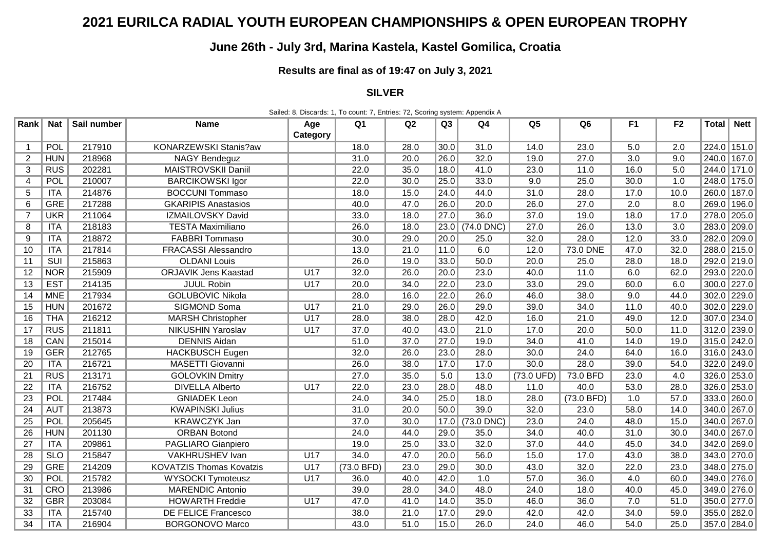## **2021 EURILCA RADIAL YOUTH EUROPEAN CHAMPIONSHIPS & OPEN EUROPEAN TROPHY**

## **June 26th - July 3rd, Marina Kastela, Kastel Gomilica, Croatia**

## **Results are final as of 19:47 on July 3, 2021**

## **SILVER**

Sailed: 8, Discards: 1, To count: 7, Entries: 72, Scoring system: Appendix A

| Rank                     | <b>Nat</b> | Sail number | <b>Name</b>                     | Age      | Q <sub>1</sub> | Q2   | Q3                | Q <sub>4</sub>  | Q <sub>5</sub> | Q <sub>6</sub> | F <sub>1</sub> | F <sub>2</sub> | Total       | <b>Nett</b> |
|--------------------------|------------|-------------|---------------------------------|----------|----------------|------|-------------------|-----------------|----------------|----------------|----------------|----------------|-------------|-------------|
|                          |            |             |                                 | Category |                |      |                   |                 |                |                |                |                |             |             |
| $\mathbf{1}$             | POL        | 217910      | KONARZEWSKI Stanis?aw           |          | 18.0           | 28.0 | 30.0              | 31.0            | 14.0           | 23.0           | 5.0            | 2.0            | 224.0 151.0 |             |
| $\overline{2}$           | <b>HUN</b> | 218968      | <b>NAGY Bendeguz</b>            |          | 31.0           | 20.0 | 26.0              | 32.0            | 19.0           | 27.0           | 3.0            | 9.0            |             | 240.0 167.0 |
| 3                        | <b>RUS</b> | 202281      | MAISTROVSKII Daniil             |          | 22.0           | 35.0 | 18.0              | 41.0            | 23.0           | 11.0           | 16.0           | 5.0            | 244.0 171.0 |             |
| $\overline{\mathcal{A}}$ | POL        | 210007      | <b>BARCIKOWSKI Igor</b>         |          | 22.0           | 30.0 | 25.0              | 33.0            | 9.0            | 25.0           | 30.0           | 1.0            | 248.0 175.0 |             |
| 5                        | ITA        | 214876      | <b>BOCCUNI Tommaso</b>          |          | 18.0           | 15.0 | 24.0              | 44.0            | 31.0           | 28.0           | 17.0           | 10.0           | 260.0 187.0 |             |
| 6                        | <b>GRE</b> | 217288      | <b>GKARIPIS Anastasios</b>      |          | 40.0           | 47.0 | 26.0              | 20.0            | 26.0           | 27.0           | 2.0            | 8.0            | 269.0 196.0 |             |
| $\overline{7}$           | <b>UKR</b> | 211064      | <b>IZMAILOVSKY David</b>        |          | 33.0           | 18.0 | 27.0              | 36.0            | 37.0           | 19.0           | 18.0           | 17.0           | 278.0 205.0 |             |
| 8                        | <b>ITA</b> | 218183      | <b>TESTA Maximiliano</b>        |          | 26.0           | 18.0 |                   | 23.0 (74.0 DNC) | 27.0           | 26.0           | 13.0           | 3.0            | 283.0 209.0 |             |
| 9                        | <b>ITA</b> | 218872      | FABBRI Tommaso                  |          | 30.0           | 29.0 | 20.0              | 25.0            | 32.0           | 28.0           | 12.0           | 33.0           | 282.0 209.0 |             |
| 10                       | <b>ITA</b> | 217814      | <b>FRACASSI Alessandro</b>      |          | 13.0           | 21.0 | 11.0              | 6.0             | 12.0           | 73.0 DNE       | 47.0           | 32.0           | 288.0 215.0 |             |
| 11                       | SUI        | 215863      | <b>OLDANI Louis</b>             |          | 26.0           | 19.0 | 33.0              | 50.0            | 20.0           | 25.0           | 28.0           | 18.0           | 292.0 219.0 |             |
| 12                       | <b>NOR</b> | 215909      | <b>ORJAVIK Jens Kaastad</b>     | U17      | 32.0           | 26.0 | 20.0              | 23.0            | 40.0           | 11.0           | 6.0            | 62.0           | 293.0 220.0 |             |
| 13                       | <b>EST</b> | 214135      | <b>JUUL Robin</b>               | U17      | 20.0           | 34.0 | 22.0              | 23.0            | 33.0           | 29.0           | 60.0           | 6.0            | 300.0 227.0 |             |
| 14                       | <b>MNE</b> | 217934      | <b>GOLUBOVIC Nikola</b>         |          | 28.0           | 16.0 | 22.0              | 26.0            | 46.0           | 38.0           | 9.0            | 44.0           | 302.0 229.0 |             |
| 15                       | <b>HUN</b> | 201672      | SIGMOND Soma                    | U17      | 21.0           | 29.0 | 26.0              | 29.0            | 39.0           | 34.0           | 11.0           | 40.0           | 302.0 229.0 |             |
| 16                       | <b>THA</b> | 216212      | <b>MARSH Christopher</b>        | U17      | 28.0           | 38.0 | 28.0              | 42.0            | 16.0           | 21.0           | 49.0           | 12.0           | 307.0 234.0 |             |
| 17                       | <b>RUS</b> | 211811      | <b>NIKUSHIN Yaroslav</b>        | U17      | 37.0           | 40.0 | 43.0              | 21.0            | 17.0           | 20.0           | 50.0           | 11.0           | 312.0 239.0 |             |
| 18                       | CAN        | 215014      | <b>DENNIS Aidan</b>             |          | 51.0           | 37.0 | 27.0              | 19.0            | 34.0           | 41.0           | 14.0           | 19.0           | 315.0 242.0 |             |
| 19                       | <b>GER</b> | 212765      | <b>HACKBUSCH Eugen</b>          |          | 32.0           | 26.0 | 23.0              | 28.0            | 30.0           | 24.0           | 64.0           | 16.0           | 316.0 243.0 |             |
| 20                       | ITA        | 216721      | MASETTI Giovanni                |          | 26.0           | 38.0 | 17.0              | 17.0            | 30.0           | 28.0           | 39.0           | 54.0           | 322.0 249.0 |             |
| 21                       | <b>RUS</b> | 213171      | <b>GOLOVKIN Dmitry</b>          |          | 27.0           | 35.0 | 5.0               | 13.0            | (73.0 UFD)     | 73.0 BFD       | 23.0           | 4.0            | 326.0 253.0 |             |
| 22                       | ITA        | 216752      | <b>DIVELLA Alberto</b>          | U17      | 22.0           | 23.0 | 28.0              | 48.0            | 11.0           | 40.0           | 53.0           | 28.0           | 326.0 253.0 |             |
| $\overline{23}$          | POL        | 217484      | <b>GNIADEK Leon</b>             |          | 24.0           | 34.0 | 25.0              | 18.0            | 28.0           | (73.0 BFD)     | 1.0            | 57.0           | 333.0 260.0 |             |
| 24                       | <b>AUT</b> | 213873      | <b>KWAPINSKI Julius</b>         |          | 31.0           | 20.0 | 50.0              | 39.0            | 32.0           | 23.0           | 58.0           | 14.0           | 340.0 267.0 |             |
| $\overline{25}$          | POL        | 205645      | <b>KRAWCZYK Jan</b>             |          | 37.0           | 30.0 |                   | 17.0 (73.0 DNC) | 23.0           | 24.0           | 48.0           | 15.0           | 340.0 267.0 |             |
| 26                       | <b>HUN</b> | 201130      | <b>ORBAN Botond</b>             |          | 24.0           | 44.0 | 29.0              | 35.0            | 34.0           | 40.0           | 31.0           | 30.0           | 340.0 267.0 |             |
| 27                       | <b>ITA</b> | 209861      | PAGLIARO Gianpiero              |          | 19.0           | 25.0 | 33.0              | 32.0            | 37.0           | 44.0           | 45.0           | 34.0           | 342.0 269.0 |             |
| 28                       | <b>SLO</b> | 215847      | VAKHRUSHEV Ivan                 | U17      | 34.0           | 47.0 | 20.0              | 56.0            | 15.0           | 17.0           | 43.0           | 38.0           | 343.0 270.0 |             |
| 29                       | <b>GRE</b> | 214209      | <b>KOVATZIS Thomas Kovatzis</b> | U17      | (73.0 BFD)     | 23.0 | 29.0              | 30.0            | 43.0           | 32.0           | 22.0           | 23.0           | 348.0 275.0 |             |
| $\overline{30}$          | POL        | 215782      | WYSOCKI Tymoteusz               | U17      | 36.0           | 40.0 | 42.0              | 1.0             | 57.0           | 36.0           | 4.0            | 60.0           | 349.0 276.0 |             |
| 31                       | <b>CRO</b> | 213986      | <b>MARENDIC Antonio</b>         |          | 39.0           | 28.0 | 34.0              | 48.0            | 24.0           | 18.0           | 40.0           | 45.0           | 349.0 276.0 |             |
| 32                       | <b>GBR</b> | 203084      | <b>HOWARTH Freddie</b>          | U17      | 47.0           | 41.0 | 14.0              | 35.0            | 46.0           | 36.0           | 7.0            | 51.0           | 350.0 277.0 |             |
| 33                       | ITA        | 215740      | <b>DE FELICE Francesco</b>      |          | 38.0           | 21.0 | $\overline{17.0}$ | 29.0            | 42.0           | 42.0           | 34.0           | 59.0           | 355.0 282.0 |             |
| $\overline{34}$          | ITA        | 216904      | <b>BORGONOVO Marco</b>          |          | 43.0           | 51.0 | 15.0              | 26.0            | 24.0           | 46.0           | 54.0           | 25.0           |             | 357.0 284.0 |